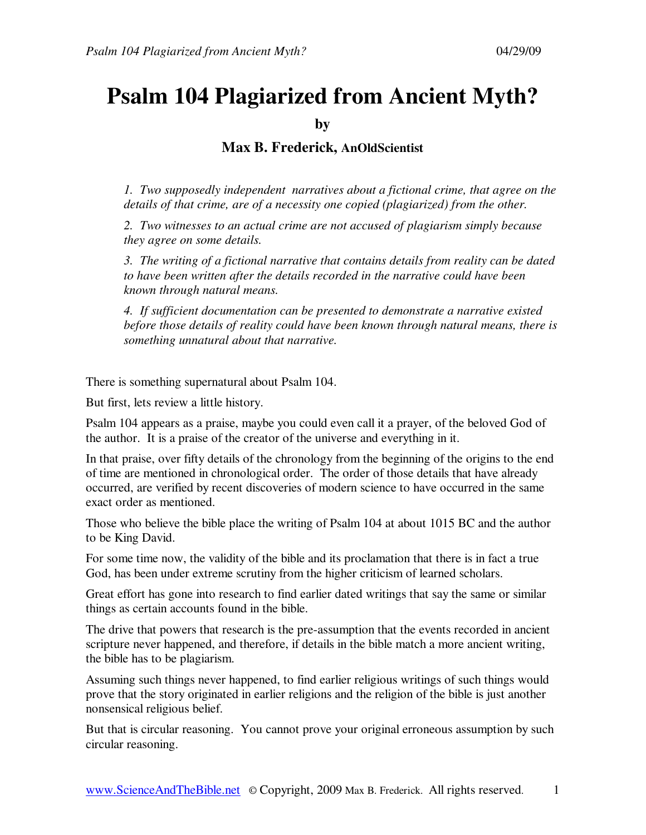## **Psalm 104 Plagiarized from Ancient Myth?**

**by** 

**Max B. Frederick, AnOldScientist**

*1. Two supposedly independent narratives about a fictional crime, that agree on the details of that crime, are of a necessity one copied (plagiarized) from the other.* 

*2. Two witnesses to an actual crime are not accused of plagiarism simply because they agree on some details.* 

*3. The writing of a fictional narrative that contains details from reality can be dated to have been written after the details recorded in the narrative could have been known through natural means.* 

*4. If sufficient documentation can be presented to demonstrate a narrative existed before those details of reality could have been known through natural means, there is something unnatural about that narrative.* 

There is something supernatural about Psalm 104.

But first, lets review a little history.

Psalm 104 appears as a praise, maybe you could even call it a prayer, of the beloved God of the author. It is a praise of the creator of the universe and everything in it.

In that praise, over fifty details of the chronology from the beginning of the origins to the end of time are mentioned in chronological order. The order of those details that have already occurred, are verified by recent discoveries of modern science to have occurred in the same exact order as mentioned.

Those who believe the bible place the writing of Psalm 104 at about 1015 BC and the author to be King David.

For some time now, the validity of the bible and its proclamation that there is in fact a true God, has been under extreme scrutiny from the higher criticism of learned scholars.

Great effort has gone into research to find earlier dated writings that say the same or similar things as certain accounts found in the bible.

The drive that powers that research is the pre-assumption that the events recorded in ancient scripture never happened, and therefore, if details in the bible match a more ancient writing, the bible has to be plagiarism.

Assuming such things never happened, to find earlier religious writings of such things would prove that the story originated in earlier religions and the religion of the bible is just another nonsensical religious belief.

But that is circular reasoning. You cannot prove your original erroneous assumption by such circular reasoning.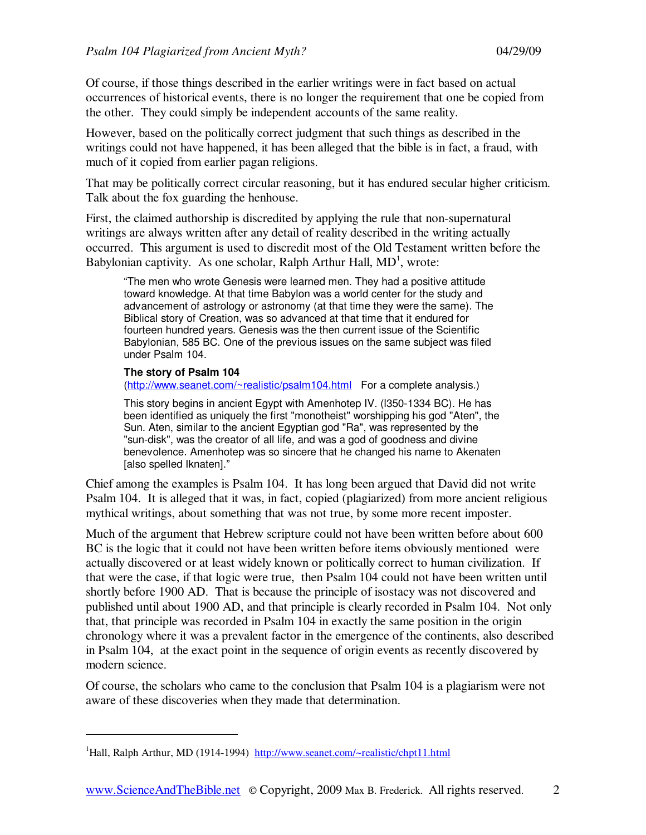Of course, if those things described in the earlier writings were in fact based on actual occurrences of historical events, there is no longer the requirement that one be copied from the other. They could simply be independent accounts of the same reality.

However, based on the politically correct judgment that such things as described in the writings could not have happened, it has been alleged that the bible is in fact, a fraud, with much of it copied from earlier pagan religions.

That may be politically correct circular reasoning, but it has endured secular higher criticism. Talk about the fox guarding the henhouse.

First, the claimed authorship is discredited by applying the rule that non-supernatural writings are always written after any detail of reality described in the writing actually occurred. This argument is used to discredit most of the Old Testament written before the Babylonian captivity. As one scholar, Ralph Arthur Hall, MD<sup>1</sup>, wrote:

"The men who wrote Genesis were learned men. They had a positive attitude toward knowledge. At that time Babylon was a world center for the study and advancement of astrology or astronomy (at that time they were the same). The Biblical story of Creation, was so advanced at that time that it endured for fourteen hundred years. Genesis was the then current issue of the Scientific Babylonian, 585 BC. One of the previous issues on the same subject was filed under Psalm 104.

## **The story of Psalm 104**

-

(http://www.seanet.com/~realistic/psalm104.html For a complete analysis.)

This story begins in ancient Egypt with Amenhotep IV. (l350-1334 BC). He has been identified as uniquely the first "monotheist" worshipping his god "Aten", the Sun. Aten, similar to the ancient Egyptian god "Ra", was represented by the "sun-disk", was the creator of all life, and was a god of goodness and divine benevolence. Amenhotep was so sincere that he changed his name to Akenaten [also spelled Iknaten]."

Chief among the examples is Psalm 104. It has long been argued that David did not write Psalm 104. It is alleged that it was, in fact, copied (plagiarized) from more ancient religious mythical writings, about something that was not true, by some more recent imposter.

Much of the argument that Hebrew scripture could not have been written before about 600 BC is the logic that it could not have been written before items obviously mentioned were actually discovered or at least widely known or politically correct to human civilization. If that were the case, if that logic were true, then Psalm 104 could not have been written until shortly before 1900 AD. That is because the principle of isostacy was not discovered and published until about 1900 AD, and that principle is clearly recorded in Psalm 104. Not only that, that principle was recorded in Psalm 104 in exactly the same position in the origin chronology where it was a prevalent factor in the emergence of the continents, also described in Psalm 104, at the exact point in the sequence of origin events as recently discovered by modern science.

Of course, the scholars who came to the conclusion that Psalm 104 is a plagiarism were not aware of these discoveries when they made that determination.

<sup>&</sup>lt;sup>1</sup>Hall, Ralph Arthur, MD (1914-1994) http://www.seanet.com/~realistic/chpt11.html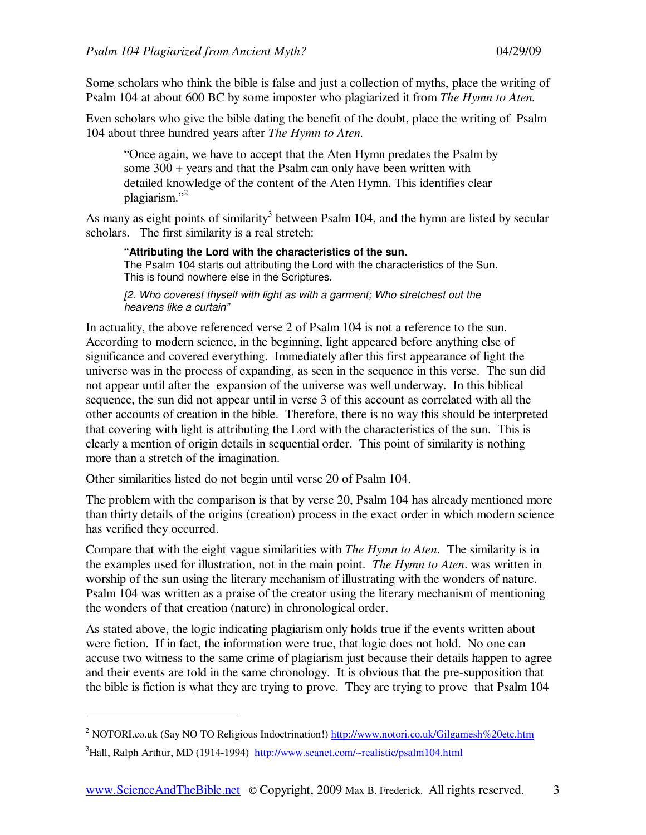Some scholars who think the bible is false and just a collection of myths, place the writing of Psalm 104 at about 600 BC by some imposter who plagiarized it from *The Hymn to Aten.*

Even scholars who give the bible dating the benefit of the doubt, place the writing of Psalm 104 about three hundred years after *The Hymn to Aten.*

"Once again, we have to accept that the Aten Hymn predates the Psalm by some 300 + years and that the Psalm can only have been written with detailed knowledge of the content of the Aten Hymn. This identifies clear plagiarism." $^2$ 

As many as eight points of similarity<sup>3</sup> between Psalm 104, and the hymn are listed by secular scholars. The first similarity is a real stretch:

**"Attributing the Lord with the characteristics of the sun.**

The Psalm 104 starts out attributing the Lord with the characteristics of the Sun. This is found nowhere else in the Scriptures.

[2. Who coverest thyself with light as with a garment; Who stretchest out the heavens like a curtain"

In actuality, the above referenced verse 2 of Psalm 104 is not a reference to the sun. According to modern science, in the beginning, light appeared before anything else of significance and covered everything. Immediately after this first appearance of light the universe was in the process of expanding, as seen in the sequence in this verse. The sun did not appear until after the expansion of the universe was well underway. In this biblical sequence, the sun did not appear until in verse 3 of this account as correlated with all the other accounts of creation in the bible. Therefore, there is no way this should be interpreted that covering with light is attributing the Lord with the characteristics of the sun. This is clearly a mention of origin details in sequential order. This point of similarity is nothing more than a stretch of the imagination.

Other similarities listed do not begin until verse 20 of Psalm 104.

-

The problem with the comparison is that by verse 20, Psalm 104 has already mentioned more than thirty details of the origins (creation) process in the exact order in which modern science has verified they occurred.

Compare that with the eight vague similarities with *The Hymn to Aten*. The similarity is in the examples used for illustration, not in the main point. *The Hymn to Aten*. was written in worship of the sun using the literary mechanism of illustrating with the wonders of nature. Psalm 104 was written as a praise of the creator using the literary mechanism of mentioning the wonders of that creation (nature) in chronological order.

As stated above, the logic indicating plagiarism only holds true if the events written about were fiction. If in fact, the information were true, that logic does not hold. No one can accuse two witness to the same crime of plagiarism just because their details happen to agree and their events are told in the same chronology. It is obvious that the pre-supposition that the bible is fiction is what they are trying to prove. They are trying to prove that Psalm 104

<sup>&</sup>lt;sup>2</sup> NOTORI.co.uk (Say NO TO Religious Indoctrination!) http://www.notori.co.uk/Gilgamesh%20etc.htm <sup>3</sup>Hall, Ralph Arthur, MD (1914-1994) http://www.seanet.com/~realistic/psalm104.html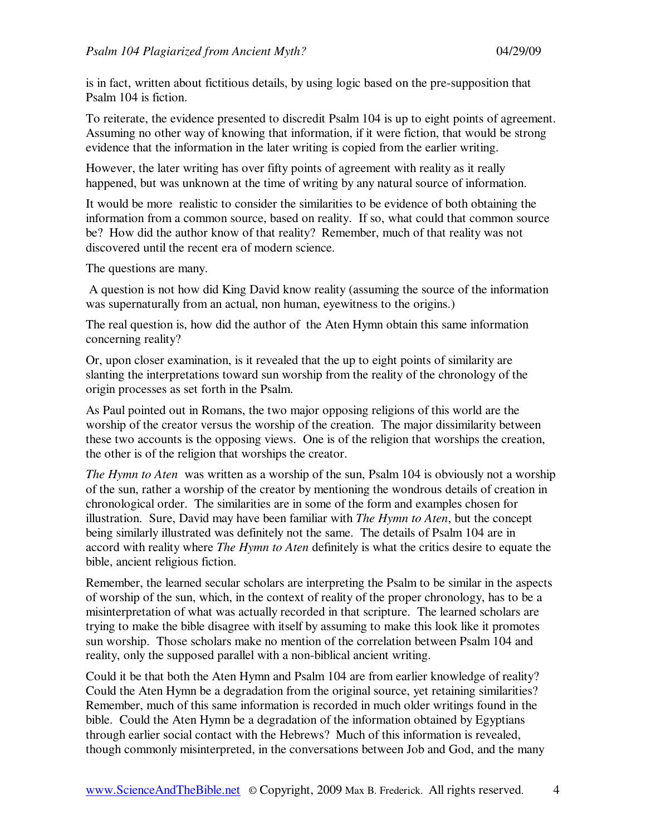is in fact, written about fictitious details, by using logic based on the pre-supposition that Psalm 104 is fiction.

To reiterate, the evidence presented to discredit Psalm 104 is up to eight points of agreement. Assuming no other way of knowing that information, if it were fiction, that would be strong evidence that the information in the later writing is copied from the earlier writing.

However, the later writing has over fifty points of agreement with reality as it really happened, but was unknown at the time of writing by any natural source of information.

It would be more realistic to consider the similarities to be evidence of both obtaining the information from a common source, based on reality. If so, what could that common source be? How did the author know of that reality? Remember, much of that reality was not discovered until the recent era of modern science.

The questions are many.

 A question is not how did King David know reality (assuming the source of the information was supernaturally from an actual, non human, eyewitness to the origins.)

The real question is, how did the author of the Aten Hymn obtain this same information concerning reality?

Or, upon closer examination, is it revealed that the up to eight points of similarity are slanting the interpretations toward sun worship from the reality of the chronology of the origin processes as set forth in the Psalm.

As Paul pointed out in Romans, the two major opposing religions of this world are the worship of the creator versus the worship of the creation. The major dissimilarity between these two accounts is the opposing views. One is of the religion that worships the creation, the other is of the religion that worships the creator.

*The Hymn to Aten* was written as a worship of the sun, Psalm 104 is obviously not a worship of the sun, rather a worship of the creator by mentioning the wondrous details of creation in chronological order. The similarities are in some of the form and examples chosen for illustration. Sure, David may have been familiar with *The Hymn to Aten*, but the concept being similarly illustrated was definitely not the same. The details of Psalm 104 are in accord with reality where *The Hymn to Aten* definitely is what the critics desire to equate the bible, ancient religious fiction.

Remember, the learned secular scholars are interpreting the Psalm to be similar in the aspects of worship of the sun, which, in the context of reality of the proper chronology, has to be a misinterpretation of what was actually recorded in that scripture. The learned scholars are trying to make the bible disagree with itself by assuming to make this look like it promotes sun worship. Those scholars make no mention of the correlation between Psalm 104 and reality, only the supposed parallel with a non-biblical ancient writing.

Could it be that both the Aten Hymn and Psalm 104 are from earlier knowledge of reality? Could the Aten Hymn be a degradation from the original source, yet retaining similarities? Remember, much of this same information is recorded in much older writings found in the bible. Could the Aten Hymn be a degradation of the information obtained by Egyptians through earlier social contact with the Hebrews? Much of this information is revealed, though commonly misinterpreted, in the conversations between Job and God, and the many